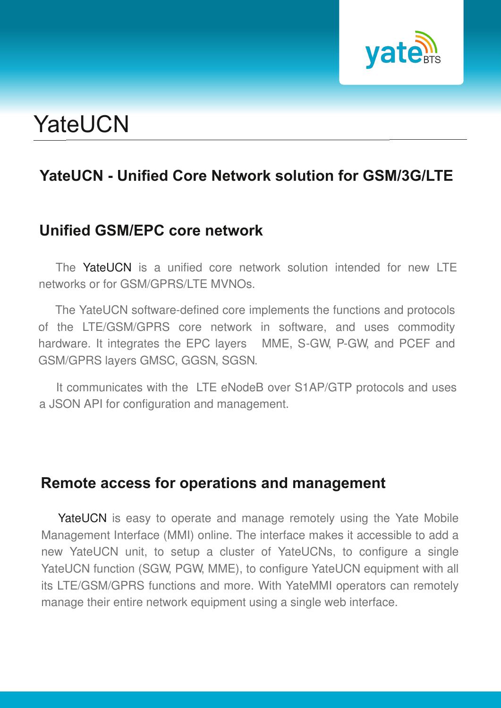

# **YateUCN**

## **YateUCN Unified Core Network solution for GSM/3G/LTE**

#### **Unified GSM/EPC core network**

The YateUCN is a unified core network solution intended for new LTE networks or for GSM/GPRS/LTE MVNOs

The YateUCN software-defined core implements the functions and protocols of the LTE/GSM/GPRS core network in software, and uses commodity hardware. It integrates the EPC layers MME, S-GW, P-GW, and PCEF and GSM/GPRS layers GMSC, GGSN, SGSN.

It communicates with the LTE eNodeB over S1AP/GTP protocols and uses a JSON API for configuration and management.

#### **Remote access for operations and management**

YateUCN is easy to operate and manage remotely using the Yate Mobile Management Interface (MMI) online. The interface makes it accessible to add a new YateUCN unit, to setup a cluster of YateUCNs, to configure a single YateUCN function (SGW, PGW, MME), to configure YateUCN equipment with all its LTE/GSM/GPRS functions and more. With YateMMI operators can remotely manage their entire network equipment using a single web interface.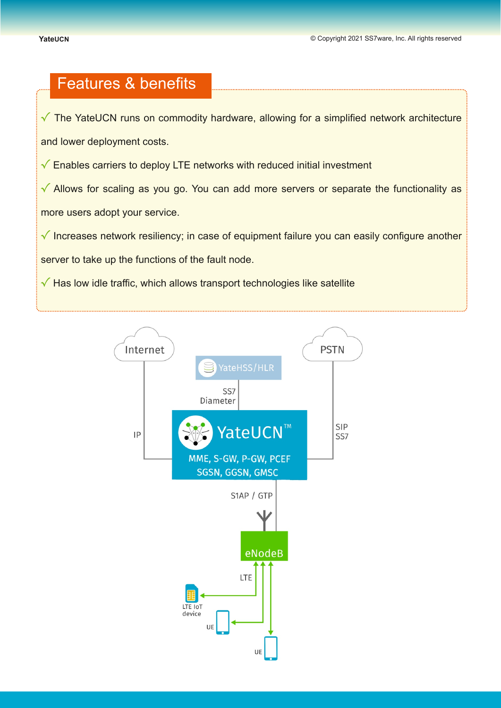### Features & benefits

**√** The YateUCN runs on commodity hardware, allowing for a simplified network architecture

and lower deployment costs.

**√** Enables carriers to deploy LTE networks with reduced initial investment

**√** Allows for scaling as you go. You can add more servers or separate the functionality as more users adopt your service.

**√** Increases network resiliency; in case of equipment failure you can easily configure another

server to take up the functions of the fault node.

**√** Has low idle traffic, which allows transport technologies like satellite

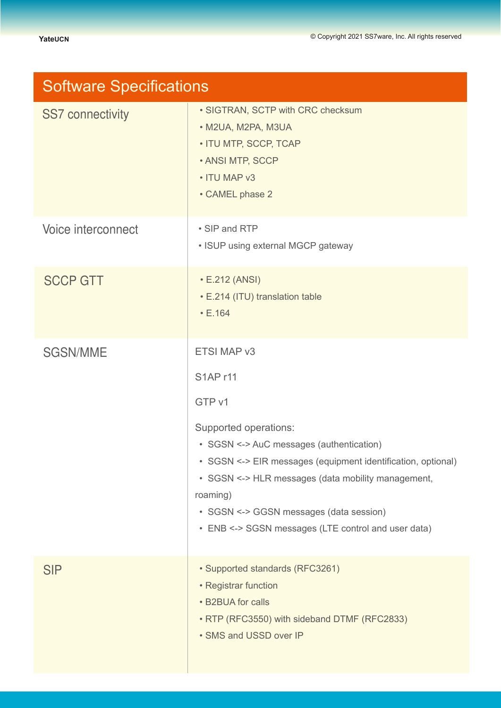| <b>Software Specifications</b> |                                                                                                                                                                                                                                                                                                       |
|--------------------------------|-------------------------------------------------------------------------------------------------------------------------------------------------------------------------------------------------------------------------------------------------------------------------------------------------------|
| <b>SS7 connectivity</b>        | • SIGTRAN, SCTP with CRC checksum<br>· M2UA, M2PA, M3UA<br>• ITU MTP, SCCP, TCAP<br>• ANSI MTP, SCCP<br>• ITU MAP v3<br>• CAMEL phase 2                                                                                                                                                               |
| Voice interconnect             | • SIP and RTP<br>• ISUP using external MGCP gateway                                                                                                                                                                                                                                                   |
| <b>SCCP GTT</b>                | • E.212 (ANSI)<br>• E.214 (ITU) translation table<br>$\cdot$ E.164                                                                                                                                                                                                                                    |
| <b>SGSN/MME</b>                | ETSI MAP v3                                                                                                                                                                                                                                                                                           |
|                                | <b>S1APr11</b>                                                                                                                                                                                                                                                                                        |
|                                | GTP v1                                                                                                                                                                                                                                                                                                |
|                                | Supported operations:<br>• SGSN <-> AuC messages (authentication)<br>• SGSN <-> EIR messages (equipment identification, optional)<br>· SGSN <-> HLR messages (data mobility management,<br>roaming)<br>• SGSN <-> GGSN messages (data session)<br>• ENB <-> SGSN messages (LTE control and user data) |
| <b>SIP</b>                     | · Supported standards (RFC3261)<br>• Registrar function<br>• B2BUA for calls<br>• RTP (RFC3550) with sideband DTMF (RFC2833)<br>• SMS and USSD over IP                                                                                                                                                |